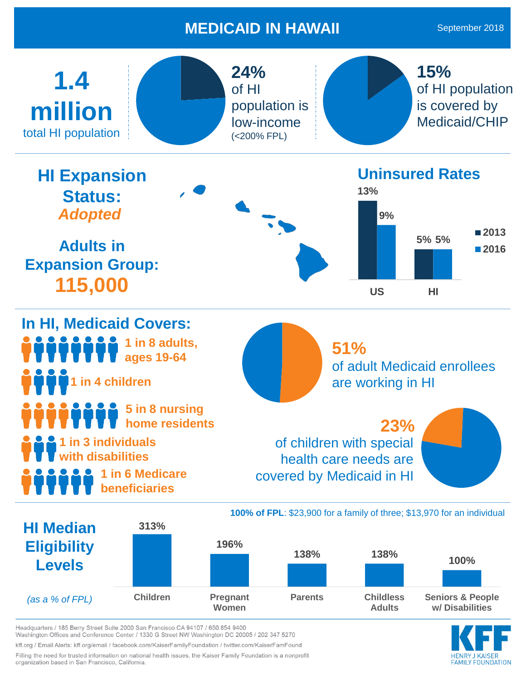## **MEDICAID IN HAWAII**

September 2018



*(as a % of FPL)* **Children Pregnant Women Parents Childless Adults Seniors & People w/ Disabilities**

AMILY FOUNDATION

Headquarters / 185 Berry Street Suite 2000 San Francisco CA 94107 / 650 854 9400 Washington Offices and Conference Center / 1330 G Street NW Washington DC 20005 / 202 347 5270

kff.org / Email Alerts: kff.org/email / facebook.com/KaiserFamilyFoundation / twitter.com/KaiserFamFound

Filling the need for trusted information on national health issues, the Kaiser Family Foundation is a nonprofit organization based in San Francisco, California.